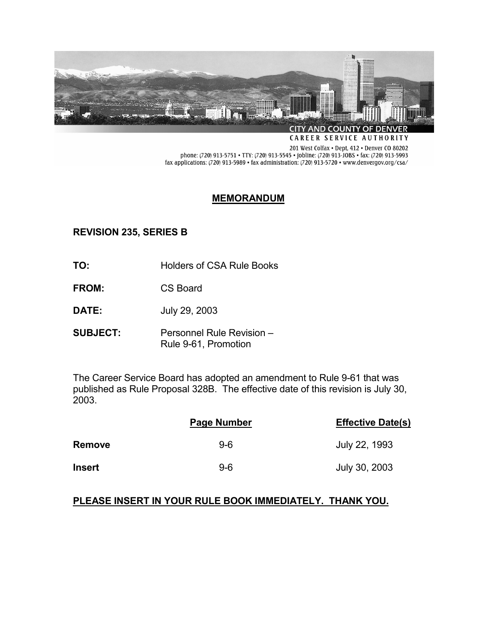

CAREER SERVICE AUTHORITY

201 West Colfax . Dept, 412 . Denver CO 80202 phone: (720) 913-5751 • TTY: (720) 913-5545 • jobline: (720) 913-JOBS • fax: (720) 913-5993 fax applications: (720) 913-5989 • fax administration: (720) 913-5720 • www.denvergov.org/csa/

### **MEMORANDUM**

# **REVISION 235, SERIES B**

- **TO:** Holders of CSA Rule Books
- **FROM:** CS Board
- **DATE:** July 29, 2003
- **SUBJECT:** Personnel Rule Revision Rule 9-61, Promotion

The Career Service Board has adopted an amendment to Rule 9-61 that was published as Rule Proposal 328B. The effective date of this revision is July 30, 2003.

|               | Page Number | <b>Effective Date(s)</b> |
|---------------|-------------|--------------------------|
| <b>Remove</b> | $9-6$       | July 22, 1993            |
| <b>Insert</b> | 9-6         | July 30, 2003            |

## **PLEASE INSERT IN YOUR RULE BOOK IMMEDIATELY. THANK YOU.**